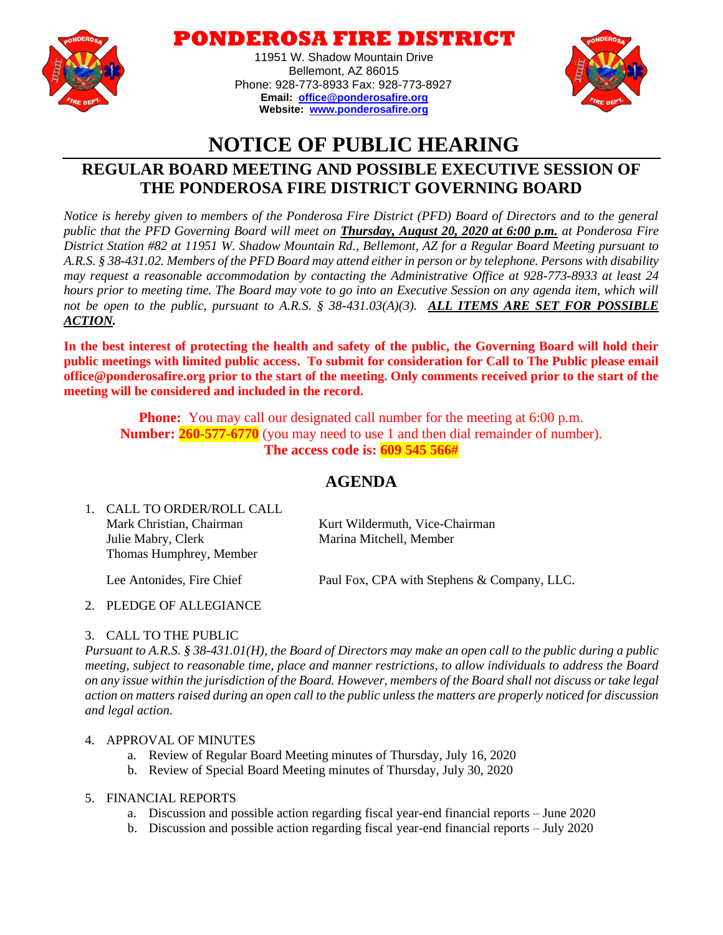

**ONDEROSA FIRE DISTI** 

11951 W. Shadow Mountain Drive Bellemont, AZ 86015 Phone: 928-773-8933 Fax: 928-773-8927 **Email: [office@ponderosafire.org](mailto:office@ponderosafire.org) Website: [www.ponderosafire.org](http://www.ponderosafire.org/)**



# **NOTICE OF PUBLIC HEARING**

## **REGULAR BOARD MEETING AND POSSIBLE EXECUTIVE SESSION OF THE PONDEROSA FIRE DISTRICT GOVERNING BOARD**

*Notice is hereby given to members of the Ponderosa Fire District (PFD) Board of Directors and to the general public that the PFD Governing Board will meet on Thursday, August 20, 2020 at 6:00 p.m. at Ponderosa Fire District Station #82 at 11951 W. Shadow Mountain Rd., Bellemont, AZ for a Regular Board Meeting pursuant to A.R.S. § 38-431.02. Members of the PFD Board may attend either in person or by telephone. Persons with disability may request a reasonable accommodation by contacting the Administrative Office at 928-773-8933 at least 24 hours prior to meeting time. The Board may vote to go into an Executive Session on any agenda item, which will not be open to the public, pursuant to A.R.S. § 38-431.03(A)(3). ALL ITEMS ARE SET FOR POSSIBLE ACTION.*

**In the best interest of protecting the health and safety of the public, the Governing Board will hold their public meetings with limited public access. To submit for consideration for Call to The Public please email office@ponderosafire.org prior to the start of the meeting. Only comments received prior to the start of the meeting will be considered and included in the record.**

**Phone:** You may call our designated call number for the meeting at 6:00 p.m. **Number: 260-577-6770** (you may need to use 1 and then dial remainder of number). **The access code is: 609 545 566#**

### **AGENDA**

1. CALL TO ORDER/ROLL CALL Mark Christian, Chairman Kurt Wildermuth, Vice-Chairman Julie Mabry, Clerk Marina Mitchell, Member Thomas Humphrey, Member

Lee Antonides, Fire Chief Paul Fox, CPA with Stephens & Company, LLC.

### 2. PLEDGE OF ALLEGIANCE

### 3. CALL TO THE PUBLIC

*Pursuant to A.R.S. § 38-431.01(H), the Board of Directors may make an open call to the public during a public meeting, subject to reasonable time, place and manner restrictions, to allow individuals to address the Board on any issue within the jurisdiction of the Board. However, members of the Board shall not discuss or take legal action on matters raised during an open call to the public unless the matters are properly noticed for discussion and legal action.* 

### 4. APPROVAL OF MINUTES

- a. Review of Regular Board Meeting minutes of Thursday, July 16, 2020
- b. Review of Special Board Meeting minutes of Thursday, July 30, 2020
- 5. FINANCIAL REPORTS
	- a. Discussion and possible action regarding fiscal year-end financial reports June 2020
	- b. Discussion and possible action regarding fiscal year-end financial reports July 2020